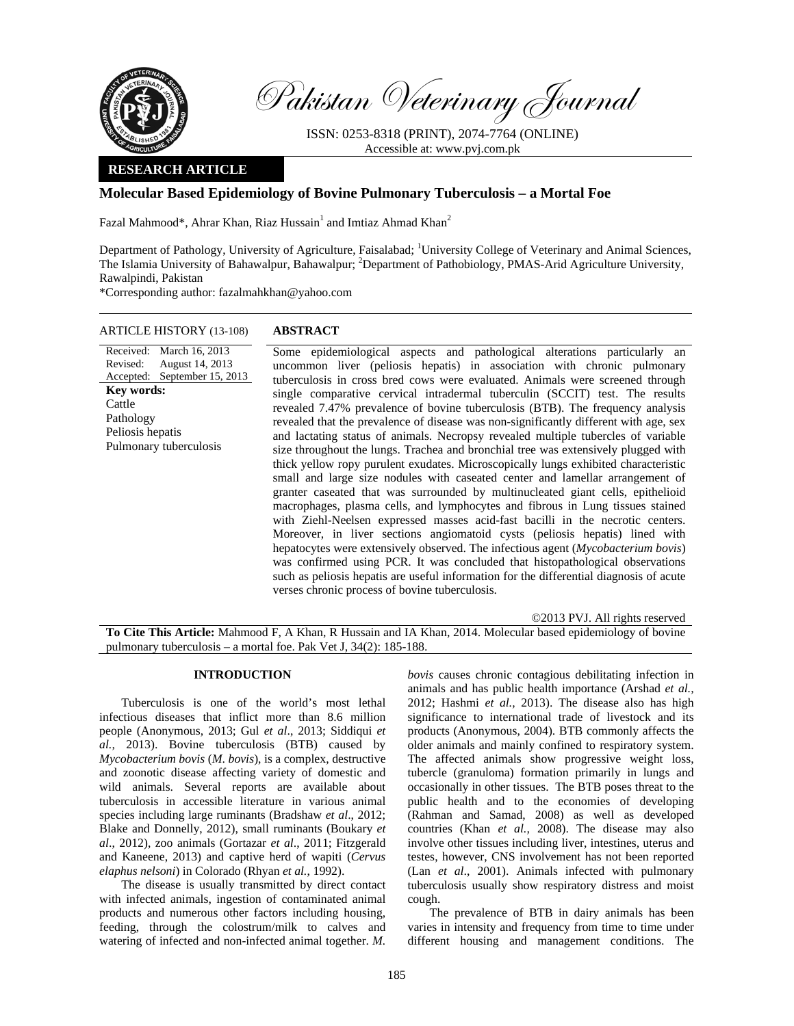

Pakistan Veterinary Journal

ISSN: 0253-8318 (PRINT), 2074-7764 (ONLINE) Accessible at: www.pvj.com.pk

# **RESEARCH ARTICLE**

## **Molecular Based Epidemiology of Bovine Pulmonary Tuberculosis – a Mortal Foe**

Fazal Mahmood\*, Ahrar Khan, Riaz Hussain<sup>1</sup> and Imtiaz Ahmad Khan<sup>2</sup>

Department of Pathology, University of Agriculture, Faisalabad; <sup>1</sup>University College of Veterinary and Animal Sciences, The Islamia University of Bahawalpur, Bahawalpur; <sup>2</sup>Department of Pathobiology, PMAS-Arid Agriculture University, Rawalpindi, Pakistan

\*Corresponding author: fazalmahkhan@yahoo.com

### ARTICLE HISTORY (13-108) **ABSTRACT**

Received: March 16, 2013 Revised: Accepted: September 15, 2013 August 14, 2013 **Key words:**  Cattle Pathology Peliosis hepatis Pulmonary tuberculosis

 Some epidemiological aspects and pathological alterations particularly an uncommon liver (peliosis hepatis) in association with chronic pulmonary tuberculosis in cross bred cows were evaluated. Animals were screened through single comparative cervical intradermal tuberculin (SCCIT) test. The results revealed 7.47% prevalence of bovine tuberculosis (BTB). The frequency analysis revealed that the prevalence of disease was non-significantly different with age, sex and lactating status of animals. Necropsy revealed multiple tubercles of variable size throughout the lungs. Trachea and bronchial tree was extensively plugged with thick yellow ropy purulent exudates. Microscopically lungs exhibited characteristic small and large size nodules with caseated center and lamellar arrangement of granter caseated that was surrounded by multinucleated giant cells, epithelioid macrophages, plasma cells, and lymphocytes and fibrous in Lung tissues stained with Ziehl-Neelsen expressed masses acid-fast bacilli in the necrotic centers. Moreover, in liver sections angiomatoid cysts (peliosis hepatis) lined with hepatocytes were extensively observed. The infectious agent (*Mycobacterium bovis*) was confirmed using PCR. It was concluded that histopathological observations such as peliosis hepatis are useful information for the differential diagnosis of acute verses chronic process of bovine tuberculosis.

©2013 PVJ. All rights reserved

**To Cite This Article:** Mahmood F, A Khan, R Hussain and IA Khan, 2014. Molecular based epidemiology of bovine pulmonary tuberculosis – a mortal foe. Pak Vet J, 34(2): 185-188.

### **INTRODUCTION**

Tuberculosis is one of the world's most lethal infectious diseases that inflict more than 8.6 million people (Anonymous, 2013; Gul *et al*., 2013; Siddiqui *et al.,* 2013). Bovine tuberculosis (BTB) caused by *Mycobacterium bovis* (*M*. *bovis*), is a complex, destructive and zoonotic disease affecting variety of domestic and wild animals. Several reports are available about tuberculosis in accessible literature in various animal species including large ruminants (Bradshaw *et al*., 2012; Blake and Donnelly, 2012), small ruminants (Boukary *et al*., 2012), zoo animals (Gortazar *et al*., 2011; Fitzgerald and Kaneene, 2013) and captive herd of wapiti (*Cervus elaphus nelsoni*) in Colorado (Rhyan *et al.*, 1992).

The disease is usually transmitted by direct contact with infected animals, ingestion of contaminated animal products and numerous other factors including housing, feeding, through the colostrum/milk to calves and watering of infected and non-infected animal together. *M.* 

*bovis* causes chronic contagious debilitating infection in animals and has public health importance (Arshad *et al.,* 2012; Hashmi *et al.,* 2013). The disease also has high significance to international trade of livestock and its products (Anonymous, 2004). BTB commonly affects the older animals and mainly confined to respiratory system. The affected animals show progressive weight loss, tubercle (granuloma) formation primarily in lungs and occasionally in other tissues. The BTB poses threat to the public health and to the economies of developing (Rahman and Samad, 2008) as well as developed countries (Khan *et al.,* 2008). The disease may also involve other tissues including liver, intestines, uterus and testes, however, CNS involvement has not been reported (Lan *et al*., 2001). Animals infected with pulmonary tuberculosis usually show respiratory distress and moist cough.

The prevalence of BTB in dairy animals has been varies in intensity and frequency from time to time under different housing and management conditions. The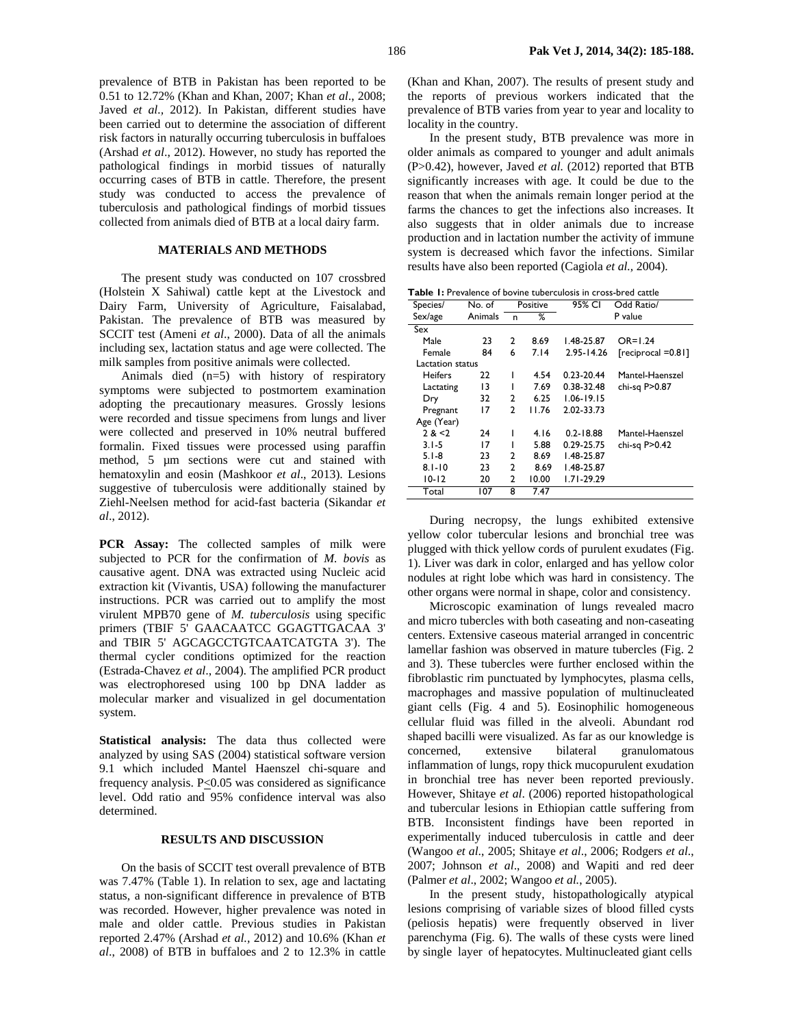prevalence of BTB in Pakistan has been reported to be 0.51 to 12.72% (Khan and Khan, 2007; Khan *et al*., 2008; Javed *et al.,* 2012). In Pakistan, different studies have been carried out to determine the association of different risk factors in naturally occurring tuberculosis in buffaloes (Arshad *et al*., 2012). However, no study has reported the pathological findings in morbid tissues of naturally occurring cases of BTB in cattle. Therefore, the present study was conducted to access the prevalence of tuberculosis and pathological findings of morbid tissues collected from animals died of BTB at a local dairy farm.

# **MATERIALS AND METHODS**

The present study was conducted on 107 crossbred (Holstein X Sahiwal) cattle kept at the Livestock and Dairy Farm, University of Agriculture, Faisalabad, Pakistan. The prevalence of BTB was measured by SCCIT test (Ameni *et al*., 2000). Data of all the animals including sex, lactation status and age were collected. The milk samples from positive animals were collected.

Animals died (n=5) with history of respiratory symptoms were subjected to postmortem examination adopting the precautionary measures. Grossly lesions were recorded and tissue specimens from lungs and liver were collected and preserved in 10% neutral buffered formalin. Fixed tissues were processed using paraffin method, 5 µm sections were cut and stained with hematoxylin and eosin (Mashkoor *et al*., 2013). Lesions suggestive of tuberculosis were additionally stained by Ziehl-Neelsen method for acid-fast bacteria (Sikandar *et al*., 2012).

**PCR Assay:** The collected samples of milk were subjected to PCR for the confirmation of *M. bovis* as causative agent. DNA was extracted using Nucleic acid extraction kit (Vivantis, USA) following the manufacturer instructions. PCR was carried out to amplify the most virulent MPB70 gene of *M. tuberculosis* using specific primers (TBIF 5' GAACAATCC GGAGTTGACAA 3' and TBIR 5' AGCAGCCTGTCAATCATGTA 3'). The thermal cycler conditions optimized for the reaction (Estrada-Chavez *et al*., 2004). The amplified PCR product was electrophoresed using 100 bp DNA ladder as molecular marker and visualized in gel documentation system.

**Statistical analysis:** The data thus collected were analyzed by using SAS (2004) statistical software version 9.1 which included Mantel Haenszel chi-square and frequency analysis. P<0.05 was considered as significance level. Odd ratio and 95% confidence interval was also determined.

### **RESULTS AND DISCUSSION**

On the basis of SCCIT test overall prevalence of BTB was 7.47% (Table 1). In relation to sex, age and lactating status, a non-significant difference in prevalence of BTB was recorded. However, higher prevalence was noted in male and older cattle. Previous studies in Pakistan reported 2.47% (Arshad *et al.,* 2012) and 10.6% (Khan *et al*., 2008) of BTB in buffaloes and 2 to 12.3% in cattle

(Khan and Khan, 2007). The results of present study and the reports of previous workers indicated that the prevalence of BTB varies from year to year and locality to locality in the country.

In the present study, BTB prevalence was more in older animals as compared to younger and adult animals (P>0.42), however, Javed *et al.* (2012) reported that BTB significantly increases with age. It could be due to the reason that when the animals remain longer period at the farms the chances to get the infections also increases. It also suggests that in older animals due to increase production and in lactation number the activity of immune system is decreased which favor the infections. Similar results have also been reported (Cagiola *et al.,* 2004).

**Table 1:** Prevalence of bovine tuberculosis in cross-bred cattle

| Species/         | No. of  | Positive       |       | 95% CI         | Odd Ratio/         |
|------------------|---------|----------------|-------|----------------|--------------------|
| Sex/age          | Animals | n              | ℅     |                | P value            |
| Sex              |         |                |       |                |                    |
| Male             | 23      | 2              | 8.69  | 1.48-25.87     | $OR = 1.24$        |
| Female           | 84      | 6              | 7.14  | 2.95-14.26     | [reciprocal =0.81] |
| Lactation status |         |                |       |                |                    |
| <b>Heifers</b>   | 22      | ı              | 4.54  | 0.23-20.44     | Mantel-Haenszel    |
| Lactating        | 13      |                | 7.69  | 0.38-32.48     | chi-sq P>0.87      |
| Dry              | 32      | 2              | 6.25  | $1.06 - 19.15$ |                    |
| Pregnant         | 17      | 2              | 11.76 | 2.02-33.73     |                    |
| Age (Year)       |         |                |       |                |                    |
| 2 < 2            | 24      |                | 4.16  | $0.2 - 18.88$  | Mantel-Haenszel    |
| $3.1 - 5$        | 17      |                | 5.88  | 0.29-25.75     | chi-sq $P > 0.42$  |
| $5.1 - 8$        | 23      | 2              | 8.69  | I.48-25.87     |                    |
| $8.1 - 10$       | 23      | $\overline{2}$ | 8.69  | 1.48-25.87     |                    |
| 10-12            | 20      | 2              | 10.00 | $1.71 - 29.29$ |                    |
| Total            | 107     | 8              | 7.47  |                |                    |
|                  |         |                |       |                |                    |

During necropsy, the lungs exhibited extensive yellow color tubercular lesions and bronchial tree was plugged with thick yellow cords of purulent exudates (Fig. 1). Liver was dark in color, enlarged and has yellow color nodules at right lobe which was hard in consistency. The other organs were normal in shape, color and consistency.

Microscopic examination of lungs revealed macro and micro tubercles with both caseating and non-caseating centers. Extensive caseous material arranged in concentric lamellar fashion was observed in mature tubercles (Fig. 2 and 3). These tubercles were further enclosed within the fibroblastic rim punctuated by lymphocytes, plasma cells, macrophages and massive population of multinucleated giant cells (Fig. 4 and 5). Eosinophilic homogeneous cellular fluid was filled in the alveoli. Abundant rod shaped bacilli were visualized. As far as our knowledge is concerned, extensive bilateral granulomatous inflammation of lungs, ropy thick mucopurulent exudation in bronchial tree has never been reported previously. However, Shitaye *et al*. (2006) reported histopathological and tubercular lesions in Ethiopian cattle suffering from BTB. Inconsistent findings have been reported in experimentally induced tuberculosis in cattle and deer (Wangoo *et al*., 2005; Shitaye *et al*., 2006; Rodgers *et al*., 2007; Johnson *et al*., 2008) and Wapiti and red deer (Palmer *et al*., 2002; Wangoo *et al.*, 2005).

In the present study, histopathologically atypical lesions comprising of variable sizes of blood filled cysts (peliosis hepatis) were frequently observed in liver parenchyma (Fig. 6). The walls of these cysts were lined by single layer of hepatocytes. Multinucleated giant cells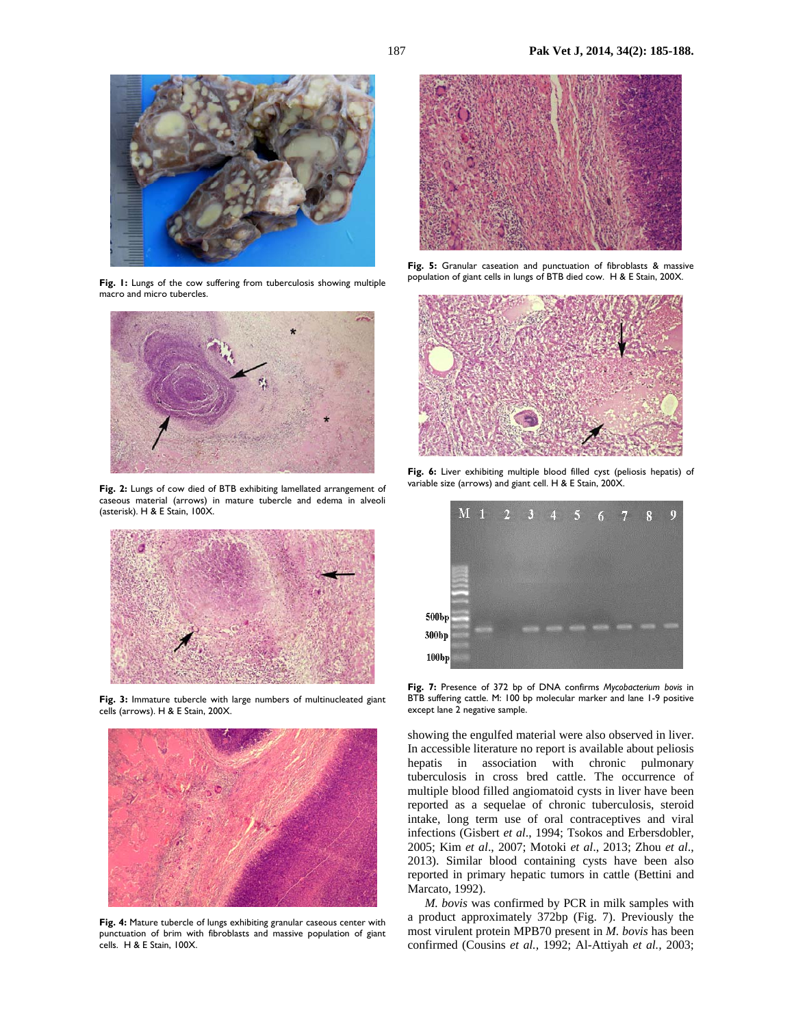

**Fig. 1:** Lungs of the cow suffering from tuberculosis showing multiple macro and micro tubercles.



**Fig. 2:** Lungs of cow died of BTB exhibiting lamellated arrangement of caseous material (arrows) in mature tubercle and edema in alveoli (asterisk). H & E Stain, 100X.



**Fig. 3:** Immature tubercle with large numbers of multinucleated giant cells (arrows). H & E Stain, 200X.



**Fig. 4:** Mature tubercle of lungs exhibiting granular caseous center with punctuation of brim with fibroblasts and massive population of giant cells. H & E Stain, 100X.



**Fig. 5:** Granular caseation and punctuation of fibroblasts & massive population of giant cells in lungs of BTB died cow. H & E Stain, 200X.



**Fig. 6:** Liver exhibiting multiple blood filled cyst (peliosis hepatis) of variable size (arrows) and giant cell. H & E Stain, 200X.



**Fig. 7:** Presence of 372 bp of DNA confirms *Mycobacterium bovis* in BTB suffering cattle. M: 100 bp molecular marker and lane 1-9 positive except lane 2 negative sample.

showing the engulfed material were also observed in liver. In accessible literature no report is available about peliosis hepatis in association with chronic pulmonary tuberculosis in cross bred cattle. The occurrence of multiple blood filled angiomatoid cysts in liver have been reported as a sequelae of chronic tuberculosis, steroid intake, long term use of oral contraceptives and viral infections (Gisbert *et al*., 1994; Tsokos and Erbersdobler, 2005; Kim *et al*., 2007; Motoki *et al*., 2013; Zhou *et al*., 2013). Similar blood containing cysts have been also reported in primary hepatic tumors in cattle (Bettini and Marcato, 1992).

 *M. bovis* was confirmed by PCR in milk samples with a product approximately 372bp (Fig. 7). Previously the most virulent protein MPB70 present in *M. bovis* has been confirmed (Cousins *et al.,* 1992; Al-Attiyah *et al.,* 2003;